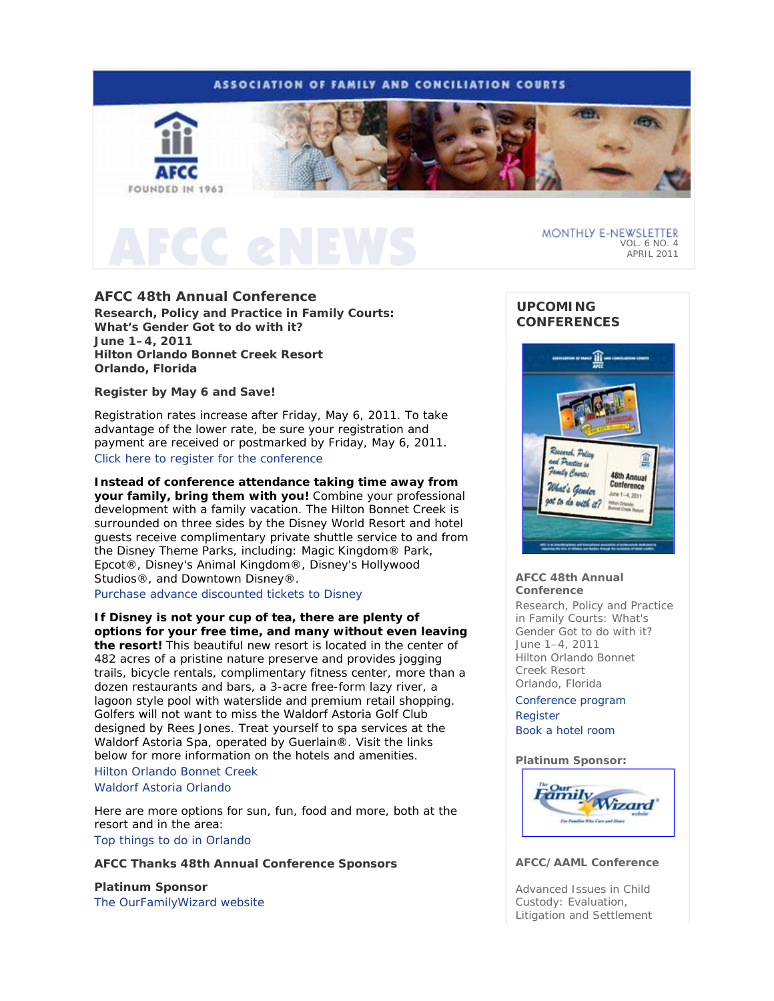# **ASSOCIATION OF FAMILY AND CONCILIATION COURTS**



MONTHLY E-NEWSLETTER VOL. 6 NO. 4 APRIL 2011

# **AFCC 48th Annual Conference**

*Research, Policy and Practice in Family Courts: What's Gender Got to do with it?* **June 1–4, 2011 Hilton Orlando Bonnet Creek Resort Orlando, Florida** 

**Register by May 6 and Save!** 

Registration rates increase after Friday, May 6, 2011. To take advantage of the lower rate, be sure your registration and payment are received or postmarked by Friday, May 6, 2011. Click here to register for the conference

**Instead of conference attendance taking time away from your family, bring them with you!** Combine your professional development with a family vacation. The Hilton Bonnet Creek is surrounded on three sides by the Disney World Resort and hotel guests receive complimentary private shuttle service to and from the Disney Theme Parks, including: Magic Kingdom® Park, Epcot®, Disney's Animal Kingdom®, Disney's Hollywood Studios®, and Downtown Disney®.

Purchase advance discounted tickets to Disney

### **If Disney is not your cup of tea, there are plenty of options for your free time, and many without even leaving**

**the resort!** This beautiful new resort is located in the center of 482 acres of a pristine nature preserve and provides jogging trails, bicycle rentals, complimentary fitness center, more than a dozen restaurants and bars, a 3-acre free-form lazy river, a lagoon style pool with waterslide and premium retail shopping. Golfers will not want to miss the Waldorf Astoria Golf Club designed by Rees Jones. Treat yourself to spa services at the Waldorf Astoria Spa, operated by Guerlain®. Visit the links below for more information on the hotels and amenities. Hilton Orlando Bonnet Creek

### Waldorf Astoria Orlando

Here are more options for sun, fun, food and more, both at the resort and in the area: Top things to do in Orlando

**AFCC Thanks 48th Annual Conference Sponsors** 

**Platinum Sponsor**  The OurFamilyWizard website

# **UPCOMING CONFERENCES**



### **AFCC 48th Annual Conference**

*Research, Policy and Practice in Family Courts: What's Gender Got to do with it?*  June 1–4, 2011 Hilton Orlando Bonnet Creek Resort Orlando, Florida

Conference program Register

Book a hotel room

### **Platinum Sponsor:**



## **AFCC/AAML Conference**

*Advanced Issues in Child Custody: Evaluation, Litigation and Settlement*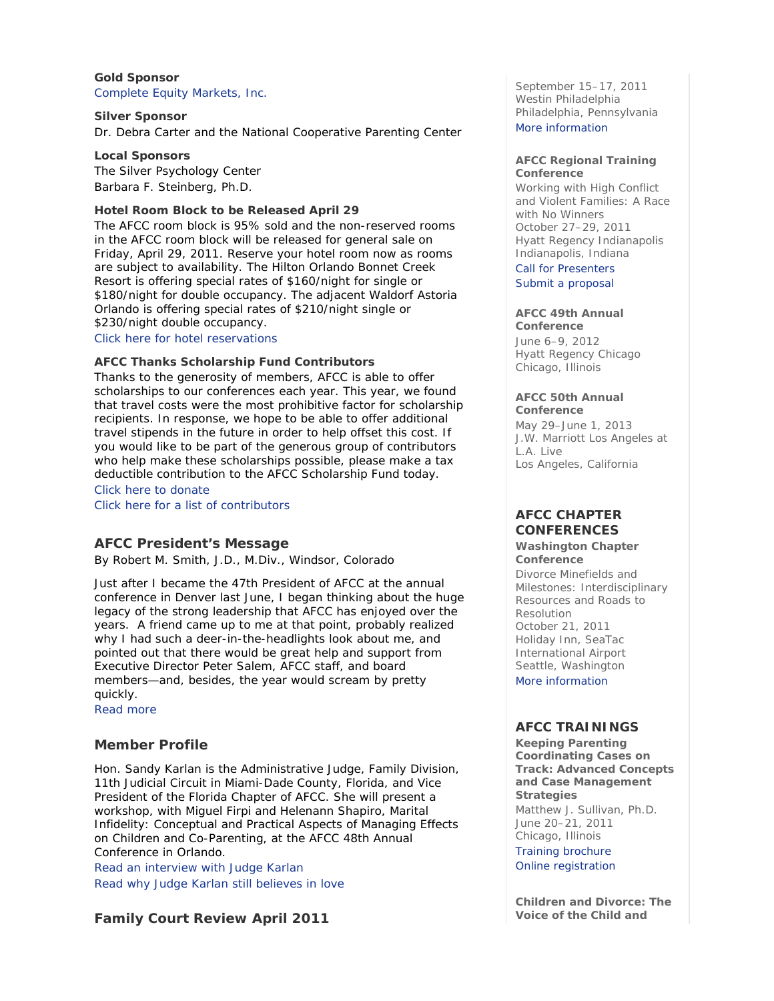# **Gold Sponsor**  Complete Equity Markets, Inc.

### **Silver Sponsor**

Dr. Debra Carter and the National Cooperative Parenting Center

### **Local Sponsors**

The Silver Psychology Center Barbara F. Steinberg, Ph.D.

### **Hotel Room Block to be Released April 29**

The AFCC room block is 95% sold and the non-reserved rooms in the AFCC room block will be released for general sale on Friday, April 29, 2011. Reserve your hotel room now as rooms are subject to availability. The Hilton Orlando Bonnet Creek Resort is offering special rates of \$160/night for single or \$180/night for double occupancy. The adjacent Waldorf Astoria Orlando is offering special rates of \$210/night single or \$230/night double occupancy.

Click here for hotel reservations

# **AFCC Thanks Scholarship Fund Contributors**

Thanks to the generosity of members, AFCC is able to offer scholarships to our conferences each year. This year, we found that travel costs were the most prohibitive factor for scholarship recipients. In response, we hope to be able to offer additional travel stipends in the future in order to help offset this cost. If you would like to be part of the generous group of contributors who help make these scholarships possible, please make a tax deductible contribution to the AFCC Scholarship Fund today.

Click here to donate

Click here for a list of contributors

# **AFCC President's Message**

*By Robert M. Smith, J.D., M.Div., Windsor, Colorado*

Just after I became the 47th President of AFCC at the annual conference in Denver last June, I began thinking about the huge legacy of the strong leadership that AFCC has enjoyed over the years. A friend came up to me at that point, probably realized why I had such a deer-in-the-headlights look about me, and pointed out that there would be great help and support from Executive Director Peter Salem, AFCC staff, and board members—and, besides, the year would scream by pretty quickly.

Read more

# **Member Profile**

Hon. Sandy Karlan is the Administrative Judge, Family Division, 11th Judicial Circuit in Miami-Dade County, Florida, and Vice President of the Florida Chapter of AFCC. She will present a workshop, with Miguel Firpi and Helenann Shapiro, *Marital Infidelity: Conceptual and Practical Aspects of Managing Effects on Children and Co-Parenting*, at the AFCC 48th Annual Conference in Orlando.

Read an interview with Judge Karlan Read why Judge Karlan still believes in love

# *Family Court Review* **April 2011**

September 15–17, 2011 Westin Philadelphia Philadelphia, Pennsylvania More information

### **AFCC Regional Training Conference**

*Working with High Conflict and Violent Families: A Race with No Winners*  October 27–29, 2011 Hyatt Regency Indianapolis Indianapolis, Indiana Call for Presenters

Submit a proposal

#### **AFCC 49th Annual Conference**

June 6–9, 2012 Hyatt Regency Chicago Chicago, Illinois

### **AFCC 50th Annual Conference**

May 29–June 1, 2013 J.W. Marriott Los Angeles at L.A. Live Los Angeles, California

# **AFCC CHAPTER CONFERENCES**

### **Washington Chapter Conference**

*Divorce Minefields and Milestones: Interdisciplinary Resources and Roads to Resolution* October 21, 2011 Holiday Inn, SeaTac International Airport Seattle, Washington More information

# **AFCC TRAININGS**

**Keeping Parenting Coordinating Cases on Track: Advanced Concepts and Case Management Strategies**  *Matthew J. Sullivan, Ph.D.* June 20–21, 2011 Chicago, Illinois Training brochure

Online registration

**Children and Divorce: The Voice of the Child and**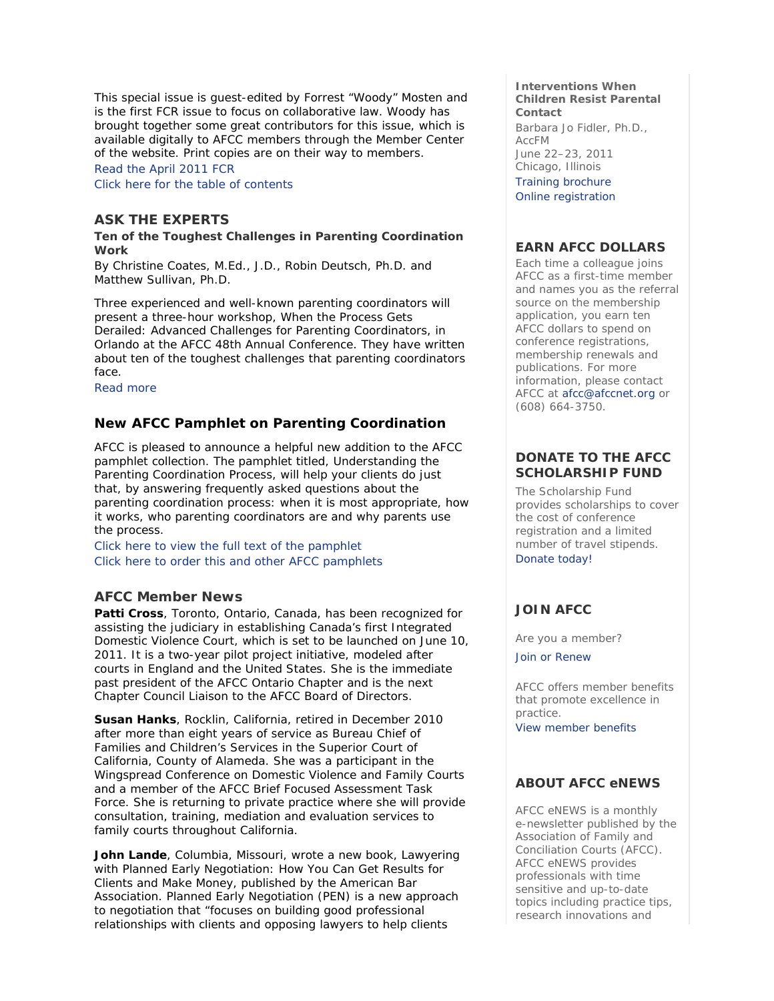This special issue is guest-edited by Forrest "Woody" Mosten and is the first *FCR* issue to focus on collaborative law. Woody has brought together some great contributors for this issue, which is available digitally to AFCC members through the Member Center of the website. Print copies are on their way to members.

Read the April 2011 *FCR* Click here for the table of contents

# **ASK THE EXPERTS**

**Ten of the Toughest Challenges in Parenting Coordination Work** 

*By Christine Coates, M.Ed., J.D., Robin Deutsch, Ph.D. and Matthew Sullivan, Ph.D.*

Three experienced and well-known parenting coordinators will present a three-hour workshop, *When the Process Gets Derailed: Advanced Challenges for Parenting Coordinators*, in Orlando at the AFCC 48th Annual Conference. They have written about ten of the toughest challenges that parenting coordinators face.

Read more

# **New AFCC Pamphlet on Parenting Coordination**

AFCC is pleased to announce a helpful new addition to the AFCC pamphlet collection. The pamphlet titled, *Understanding the Parenting Coordination Process,* will help your clients do just that, by answering frequently asked questions about the parenting coordination process: when it is most appropriate, how it works, who parenting coordinators are and why parents use the process.

Click here to view the full text of the pamphlet Click here to order this and other AFCC pamphlets

# **AFCC Member News**

**Patti Cross**, Toronto, Ontario, Canada, has been recognized for assisting the judiciary in establishing Canada's first Integrated Domestic Violence Court, which is set to be launched on June 10, 2011. It is a two-year pilot project initiative, modeled after courts in England and the United States. She is the immediate past president of the AFCC Ontario Chapter and is the next Chapter Council Liaison to the AFCC Board of Directors.

**Susan Hanks**, Rocklin, California, retired in December 2010 after more than eight years of service as Bureau Chief of Families and Children's Services in the Superior Court of California, County of Alameda. She was a participant in the Wingspread Conference on Domestic Violence and Family Courts and a member of the AFCC Brief Focused Assessment Task Force. She is returning to private practice where she will provide consultation, training, mediation and evaluation services to family courts throughout California.

**John Lande**, Columbia, Missouri, wrote a new book, *Lawyering with Planned Early Negotiation: How You Can Get Results for Clients and Make Money,* published by the American Bar Association. Planned Early Negotiation (PEN) is a new approach to negotiation that "focuses on building good professional relationships with clients and opposing lawyers to help clients

**Interventions When Children Resist Parental Contact**  *Barbara Jo Fidler, Ph.D., AccFM* June 22–23, 2011 Chicago, Illinois Training brochure Online registration

# **EARN AFCC DOLLARS**

Each time a colleague joins AFCC as a first-time member and names you as the referral source on the membership application, you earn ten AFCC dollars to spend on conference registrations, membership renewals and publications. For more information, please contact AFCC at afcc@afccnet.org or (608) 664-3750.

# **DONATE TO THE AFCC SCHOLARSHIP FUND**

The Scholarship Fund provides scholarships to cover the cost of conference registration and a limited number of travel stipends. Donate today!

# **JOIN AFCC**

Are you a member?

Join or Renew

AFCC offers member benefits that promote excellence in practice.

View member benefits

# **ABOUT AFCC eNEWS**

*AFCC eNEWS* is a monthly e-newsletter published by the Association of Family and Conciliation Courts (AFCC). *AFCC eNEWS* provides professionals with time sensitive and up-to-date topics including practice tips, research innovations and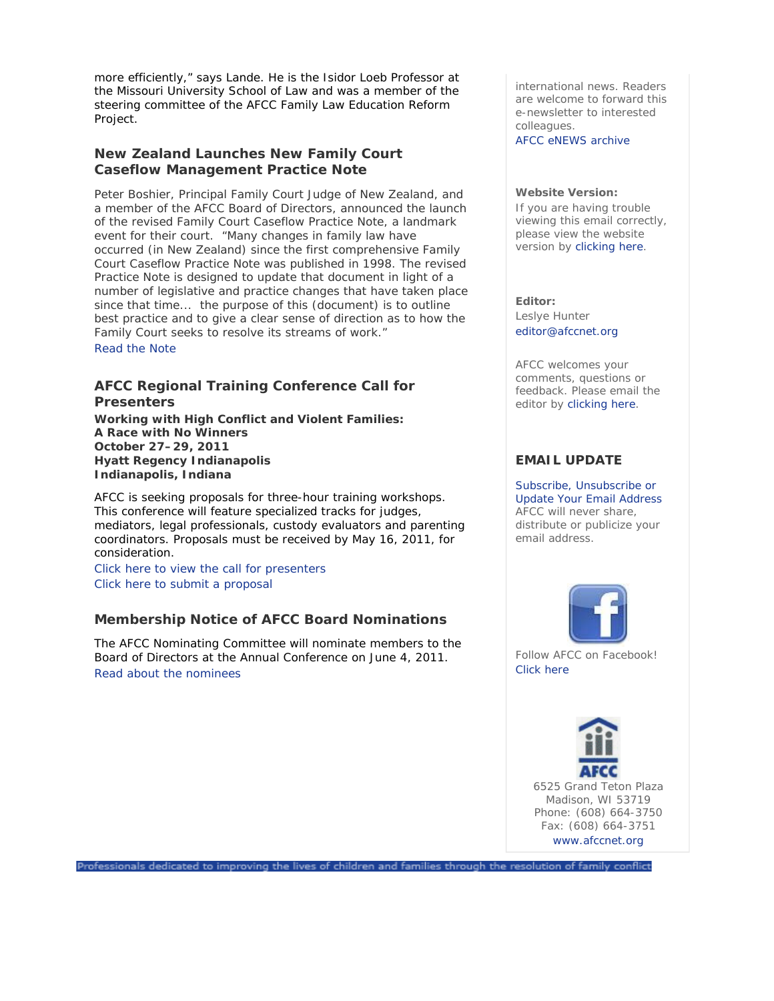more efficiently," says Lande. He is the Isidor Loeb Professor at the Missouri University School of Law and was a member of the steering committee of the AFCC Family Law Education Reform Project.

# **New Zealand Launches New Family Court Caseflow Management Practice Note**

Peter Boshier, Principal Family Court Judge of New Zealand, and a member of the AFCC Board of Directors, announced the launch of the revised *Family Court Caseflow Practice Note*, a landmark event for their court. "Many changes in family law have occurred (in New Zealand) since the first comprehensive *Family Court Caseflow Practice Note* was published in 1998. The revised *Practice Note* is designed to update that document in light of a number of legislative and practice changes that have taken place since that time... the purpose of this (document) is to outline best practice and to give a clear sense of direction as to how the Family Court seeks to resolve its streams of work." Read the Note

# **AFCC Regional Training Conference Call for Presenters**

*Working with High Conflict and Violent Families: A Race with No Winners* **October 27–29, 2011 Hyatt Regency Indianapolis Indianapolis, Indiana** 

AFCC is seeking proposals for three-hour training workshops. This conference will feature specialized tracks for judges, mediators, legal professionals, custody evaluators and parenting coordinators. Proposals must be received by May 16, 2011, for consideration.

Click here to view the call for presenters Click here to submit a proposal

# **Membership Notice of AFCC Board Nominations**

The AFCC Nominating Committee will nominate members to the Board of Directors at the Annual Conference on June 4, 2011. Read about the nominees

Professionals dedicated to improving the lives of children and families through the resolution of family conflict

international news. Readers are welcome to forward this e-newsletter to interested colleagues.

AFCC eNEWS archive

### **Website Version:**

If you are having trouble viewing this email correctly, please view the website version by clicking here.

**Editor:**  Leslye Hunter editor@afccnet.org

AFCC welcomes your comments, questions or feedback. Please email the editor by clicking here.

# **EMAIL UPDATE**

Subscribe, Unsubscribe or Update Your Email Address AFCC will never share, distribute or publicize your email address.



Follow AFCC on Facebook! Click here



6525 Grand Teton Plaza Madison, WI 53719 Phone: (608) 664-3750 Fax: (608) 664-3751 www.afccnet.org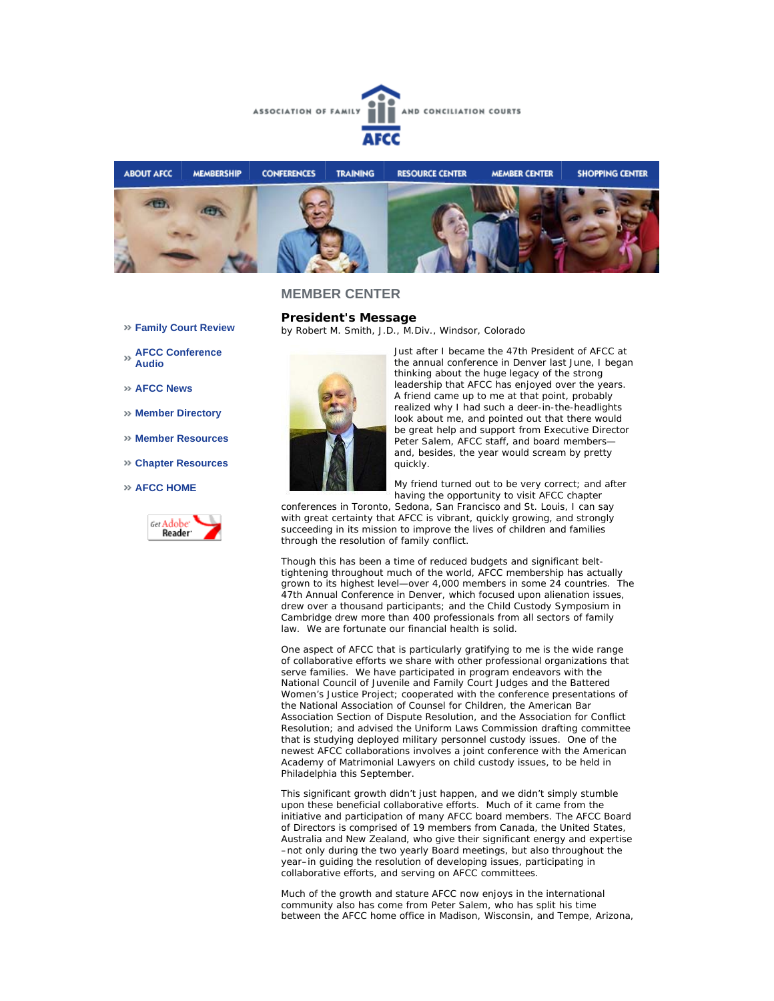



*by Robert M. Smith, J.D., M.Div., Windsor, Colorado* 

### **MEMBER CENTER**

**President's Message**

- **Family Court Review**
- **AFCC Conference Audio**
- **AFCC News**
- **Member Directory**
- **Member Resources**
- **Chapter Resources**
- **AFCC HOME**





Just after I became the 47th President of AFCC at the annual conference in Denver last June, I began thinking about the huge legacy of the strong leadership that AFCC has enjoyed over the years. A friend came up to me at that point, probably realized why I had such a deer-in-the-headlights look about me, and pointed out that there would be great help and support from Executive Director Peter Salem, AFCC staff, and board members and, besides, the year would scream by pretty quickly.

My friend turned out to be very correct; and after having the opportunity to visit AFCC chapter

conferences in Toronto, Sedona, San Francisco and St. Louis, I can say with great certainty that AFCC is vibrant, quickly growing, and strongly succeeding in its mission to improve the lives of children and families through the resolution of family conflict.

Though this has been a time of reduced budgets and significant belttightening throughout much of the world, AFCC membership has actually grown to its highest level—over 4,000 members in some 24 countries. The 47th Annual Conference in Denver, which focused upon alienation issues, drew over a thousand participants; and the Child Custody Symposium in Cambridge drew more than 400 professionals from all sectors of family law. We are fortunate our financial health is solid.

One aspect of AFCC that is particularly gratifying to me is the wide range of collaborative efforts we share with other professional organizations that serve families. We have participated in program endeavors with the National Council of Juvenile and Family Court Judges and the Battered Women's Justice Project; cooperated with the conference presentations of the National Association of Counsel for Children, the American Bar Association Section of Dispute Resolution, and the Association for Conflict Resolution; and advised the Uniform Laws Commission drafting committee that is studying deployed military personnel custody issues. One of the newest AFCC collaborations involves a joint conference with the American Academy of Matrimonial Lawyers on child custody issues, to be held in Philadelphia this September.

This significant growth didn't just happen, and we didn't simply stumble upon these beneficial collaborative efforts. Much of it came from the initiative and participation of many AFCC board members. The AFCC Board of Directors is comprised of 19 members from Canada, the United States, Australia and New Zealand, who give their significant energy and expertise –not only during the two yearly Board meetings, but also throughout the year–in guiding the resolution of developing issues, participating in collaborative efforts, and serving on AFCC committees.

Much of the growth and stature AFCC now enjoys in the international community also has come from Peter Salem, who has split his time between the AFCC home office in Madison, Wisconsin, and Tempe, Arizona,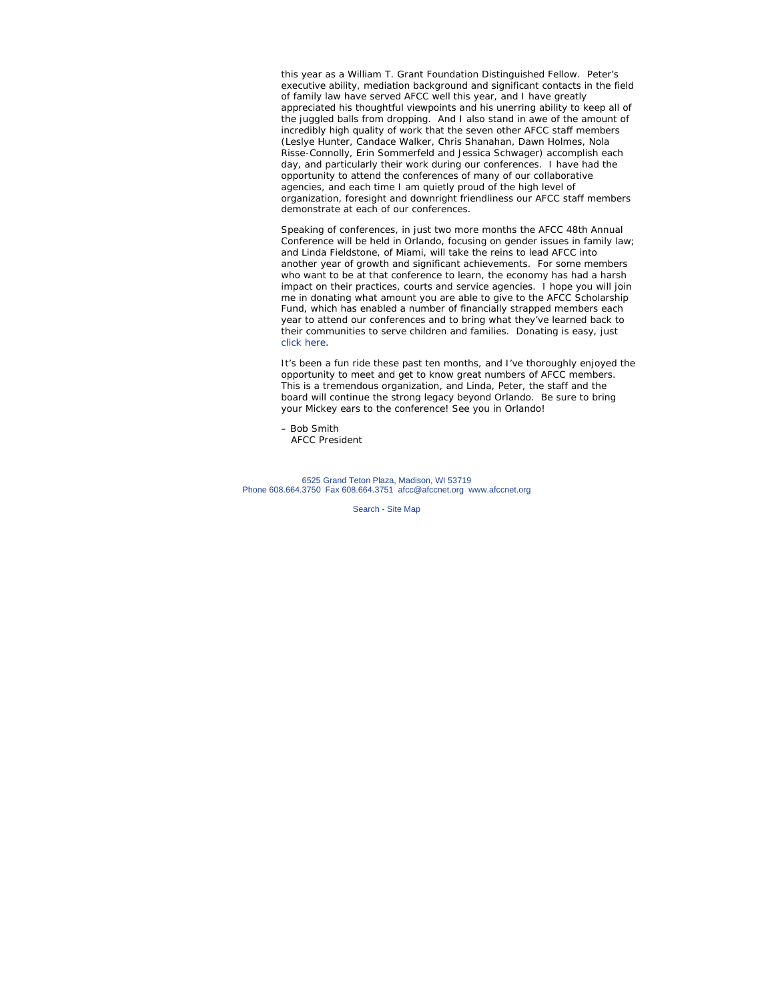this year as a William T. Grant Foundation Distinguished Fellow. Peter's executive ability, mediation background and significant contacts in the field of family law have served AFCC well this year, and I have greatly appreciated his thoughtful viewpoints and his unerring ability to keep all of the juggled balls from dropping. And I also stand in awe of the amount of incredibly high quality of work that the seven other AFCC staff members (Leslye Hunter, Candace Walker, Chris Shanahan, Dawn Holmes, Nola Risse-Connolly, Erin Sommerfeld and Jessica Schwager) accomplish each day, and particularly their work during our conferences. I have had the opportunity to attend the conferences of many of our collaborative agencies, and each time I am quietly proud of the high level of organization, foresight and downright friendliness our AFCC staff members demonstrate at each of our conferences.

Speaking of conferences, in just two more months the AFCC 48th Annual Conference will be held in Orlando, focusing on gender issues in family law; and Linda Fieldstone, of Miami, will take the reins to lead AFCC into another year of growth and significant achievements. For some members who want to be at that conference to learn, the economy has had a harsh impact on their practices, courts and service agencies. I hope you will join me in donating what amount you are able to give to the AFCC Scholarship Fund, which has enabled a number of financially strapped members each year to attend our conferences and to bring what they've learned back to their communities to serve children and families. Donating is easy, just click here.

It's been a fun ride these past ten months, and I've thoroughly enjoyed the opportunity to meet and get to know great numbers of AFCC members. This is a tremendous organization, and Linda, Peter, the staff and the board will continue the strong legacy beyond Orlando. Be sure to bring your Mickey ears to the conference! See you in Orlando!

– Bob Smith AFCC President

6525 Grand Teton Plaza, Madison, WI 53719 Phone 608.664.3750 Fax 608.664.3751 afcc@afccnet.org www.afccnet.org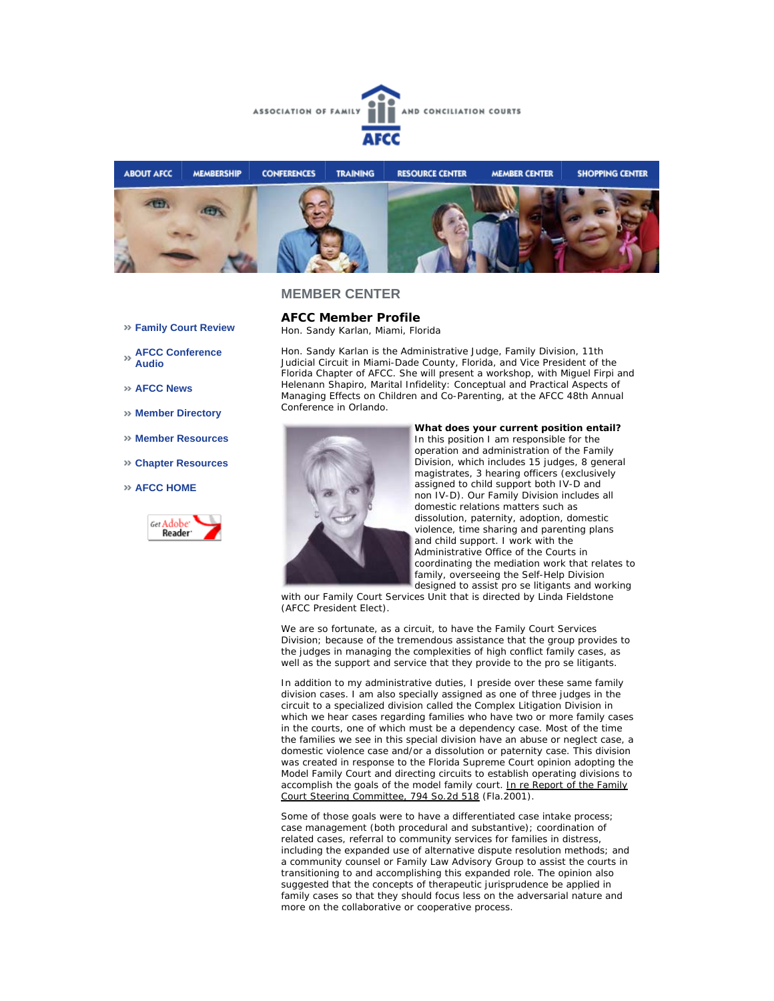



**AFCC Member Profile** Hon. Sandy Karlan, Miami, Florida

- **Family Court Review**
- **AFCC Conference Audio**
- **AFCC News**
- **Member Directory**
- **Member Resources**
- **Chapter Resources**
- **AFCC HOME**



*Hon. Sandy Karlan is the Administrative Judge, Family Division, 11th Judicial Circuit in Miami-Dade County, Florida, and Vice President of the Florida Chapter of AFCC. She will present a workshop, with Miguel Firpi and Helenann Shapiro,* Marital Infidelity: Conceptual and Practical Aspects of Managing Effects on Children and Co-Parenting*, at the AFCC 48th Annual Conference in Orlando.*



**What does your current position entail?** In this position I am responsible for the operation and administration of the Family Division, which includes 15 judges, 8 general magistrates, 3 hearing officers (exclusively assigned to child support both IV-D and non IV-D). Our Family Division includes all domestic relations matters such as dissolution, paternity, adoption, domestic violence, time sharing and parenting plans and child support. I work with the Administrative Office of the Courts in coordinating the mediation work that relates to family, overseeing the Self-Help Division designed to assist pro se litigants and working

with our Family Court Services Unit that is directed by Linda Fieldstone (AFCC President Elect).

We are so fortunate, as a circuit, to have the Family Court Services Division; because of the tremendous assistance that the group provides to the judges in managing the complexities of high conflict family cases, as well as the support and service that they provide to the pro se litigants.

In addition to my administrative duties, I preside over these same family division cases. I am also specially assigned as one of three judges in the circuit to a specialized division called the Complex Litigation Division in which we hear cases regarding families who have two or more family cases in the courts, one of which must be a dependency case. Most of the time the families we see in this special division have an abuse or neglect case, a domestic violence case and/or a dissolution or paternity case. This division was created in response to the Florida Supreme Court opinion adopting the Model Family Court and directing circuits to establish operating divisions to accomplish the goals of the model family court. *In re Report of the Family Court Steering Committee, 794 So.2d 518* (Fla.2001).

Some of those goals were to have a differentiated case intake process; case management (both procedural and substantive); coordination of related cases, referral to community services for families in distress, including the expanded use of alternative dispute resolution methods; and a community counsel or Family Law Advisory Group to assist the courts in transitioning to and accomplishing this expanded role. The opinion also suggested that the concepts of therapeutic jurisprudence be applied in family cases so that they should focus less on the adversarial nature and more on the collaborative or cooperative process.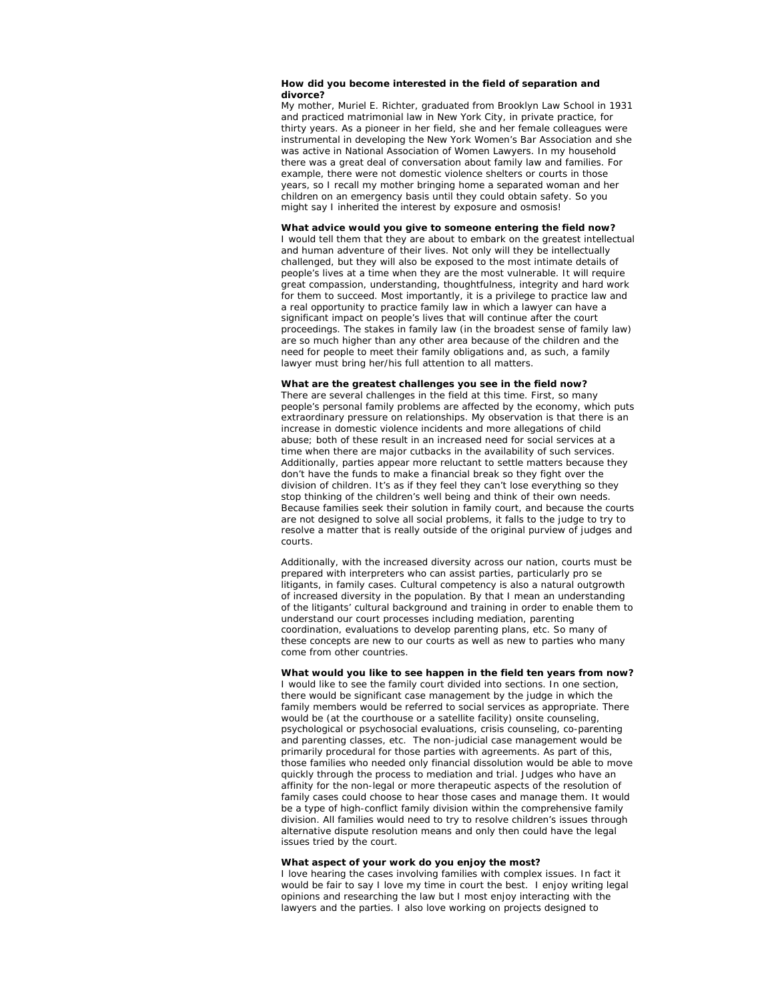#### **How did you become interested in the field of separation and divorce?**

My mother, Muriel E. Richter, graduated from Brooklyn Law School in 1931 and practiced matrimonial law in New York City, in private practice, for thirty years. As a pioneer in her field, she and her female colleagues were instrumental in developing the New York Women's Bar Association and she was active in National Association of Women Lawyers. In my household there was a great deal of conversation about family law and families. For example, there were not domestic violence shelters or courts in those years, so I recall my mother bringing home a separated woman and her children on an emergency basis until they could obtain safety. So you might say I inherited the interest by exposure and osmosis!

#### **What advice would you give to someone entering the field now?** I would tell them that they are about to embark on the greatest intellectual and human adventure of their lives. Not only will they be intellectually challenged, but they will also be exposed to the most intimate details of people's lives at a time when they are the most vulnerable. It will require great compassion, understanding, thoughtfulness, integrity and hard work for them to succeed. Most importantly, it is a privilege to practice law and a real opportunity to practice family law in which a lawyer can have a significant impact on people's lives that will continue after the court proceedings. The stakes in family law (in the broadest sense of family law) are so much higher than any other area because of the children and the need for people to meet their family obligations and, as such, a family lawyer must bring her/his full attention to all matters.

### **What are the greatest challenges you see in the field now?**

There are several challenges in the field at this time. First, so many people's personal family problems are affected by the economy, which puts extraordinary pressure on relationships. My observation is that there is an increase in domestic violence incidents and more allegations of child abuse; both of these result in an increased need for social services at a time when there are major cutbacks in the availability of such services. Additionally, parties appear more reluctant to settle matters because they don't have the funds to make a financial break so they fight over the division of children. It's as if they feel they can't lose everything so they stop thinking of the children's well being and think of their own needs. Because families seek their solution in family court, and because the courts are not designed to solve all social problems, it falls to the judge to try to resolve a matter that is really outside of the original purview of judges and courts.

Additionally, with the increased diversity across our nation, courts must be prepared with interpreters who can assist parties, particularly pro se litigants, in family cases. Cultural competency is also a natural outgrowth of increased diversity in the population. By that I mean an understanding of the litigants' cultural background and training in order to enable them to understand our court processes including mediation, parenting coordination, evaluations to develop parenting plans, etc. So many of these concepts are new to our courts as well as new to parties who many come from other countries.

#### **What would you like to see happen in the field ten years from now?**

I would like to see the family court divided into sections. In one section, there would be significant case management by the judge in which the family members would be referred to social services as appropriate. There would be (at the courthouse or a satellite facility) onsite counseling, psychological or psychosocial evaluations, crisis counseling, co-parenting and parenting classes, etc. The non-judicial case management would be primarily procedural for those parties with agreements. As part of this, those families who needed only financial dissolution would be able to move quickly through the process to mediation and trial. Judges who have an affinity for the non-legal or more therapeutic aspects of the resolution of family cases could choose to hear those cases and manage them. It would be a type of high-conflict family division within the comprehensive family division. All families would need to try to resolve children's issues through alternative dispute resolution means and only then could have the legal issues tried by the court.

#### **What aspect of your work do you enjoy the most?**

I love hearing the cases involving families with complex issues. In fact it would be fair to say I love my time in court the best. I enjoy writing legal opinions and researching the law but I most enjoy interacting with the lawyers and the parties. I also love working on projects designed to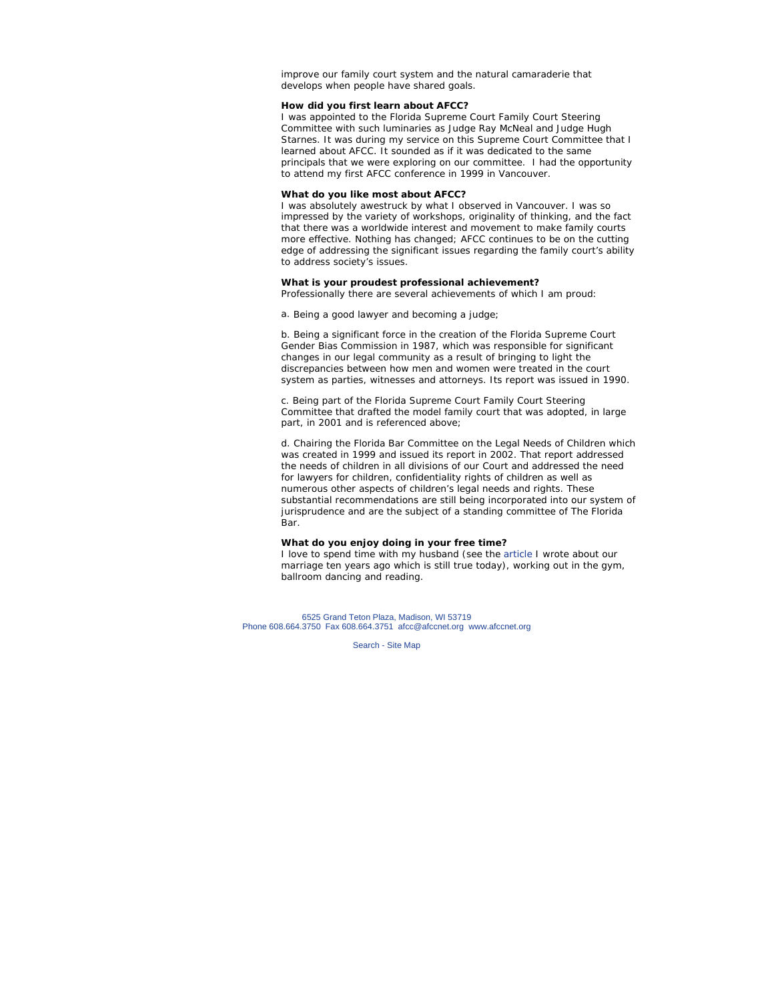improve our family court system and the natural camaraderie that develops when people have shared goals.

#### **How did you first learn about AFCC?**

I was appointed to the Florida Supreme Court Family Court Steering Committee with such luminaries as Judge Ray McNeal and Judge Hugh Starnes. It was during my service on this Supreme Court Committee that I learned about AFCC. It sounded as if it was dedicated to the same principals that we were exploring on our committee. I had the opportunity to attend my first AFCC conference in 1999 in Vancouver.

#### **What do you like most about AFCC?**

I was absolutely awestruck by what I observed in Vancouver. I was so impressed by the variety of workshops, originality of thinking, and the fact that there was a worldwide interest and movement to make family courts more effective. Nothing has changed; AFCC continues to be on the cutting edge of addressing the significant issues regarding the family court's ability to address society's issues.

#### **What is your proudest professional achievement?**

Professionally there are several achievements of which I am proud:

a. Being a good lawyer and becoming a judge;

b. Being a significant force in the creation of the Florida Supreme Court Gender Bias Commission in 1987, which was responsible for significant changes in our legal community as a result of bringing to light the discrepancies between how men and women were treated in the court system as parties, witnesses and attorneys. Its report was issued in 1990.

c. Being part of the Florida Supreme Court Family Court Steering Committee that drafted the model family court that was adopted, in large part, in 2001 and is referenced above;

d. Chairing the Florida Bar Committee on the Legal Needs of Children which was created in 1999 and issued its report in 2002. That report addressed the needs of children in all divisions of our Court and addressed the need for lawyers for children, confidentiality rights of children as well as numerous other aspects of children's legal needs and rights. These substantial recommendations are still being incorporated into our system of jurisprudence and are the subject of a standing committee of The Florida Bar.

#### **What do you enjoy doing in your free time?**

I love to spend time with my husband (see the article I wrote about our marriage ten years ago which is still true today), working out in the gym, ballroom dancing and reading.

6525 Grand Teton Plaza, Madison, WI 53719 Phone 608.664.3750 Fax 608.664.3751 afcc@afccnet.org www.afccnet.org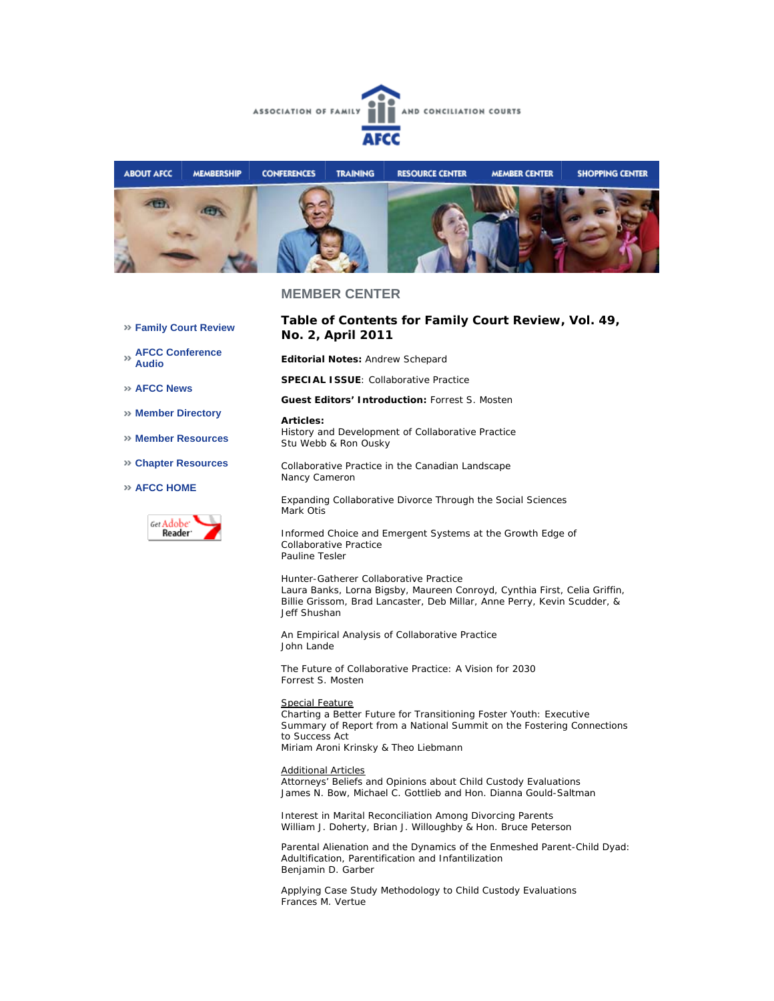



- **Family Court Review**
- **AFCC Conference Audio**
- **AFCC News**
- **Member Directory**
- **Member Resources**
- **Chapter Resources**

#### **AFCC HOME**



# **Table of Contents for** *Family Court Review***, Vol. 49, No. 2, April 2011**

**Editorial Notes:** Andrew Schepard

**SPECIAL ISSUE**: *Collaborative Practice*

#### **Guest Editors' Introduction:** Forrest S. Mosten

#### **Articles:**

*History and Development of Collaborative Practice*  Stu Webb & Ron Ousky

*Collaborative Practice in the Canadian Landscape* Nancy Cameron

*Expanding Collaborative Divorce Through the Social Sciences* Mark Otis

*Informed Choice and Emergent Systems at the Growth Edge of Collaborative Practice* Pauline Tesler

*Hunter-Gatherer Collaborative Practice*  Laura Banks, Lorna Bigsby, Maureen Conroyd, Cynthia First, Celia Griffin, Billie Grissom, Brad Lancaster, Deb Millar, Anne Perry, Kevin Scudder, & Jeff Shushan

*An Empirical Analysis of Collaborative Practice*  John Lande

*The Future of Collaborative Practice: A Vision for 2030*  Forrest S. Mosten

#### Special Feature

*Charting a Better Future for Transitioning Foster Youth: Executive Summary of Report from a National Summit on the Fostering Connections to Success Act*  Miriam Aroni Krinsky & Theo Liebmann

### Additional Articles

*Attorneys' Beliefs and Opinions about Child Custody Evaluations* James N. Bow, Michael C. Gottlieb and Hon. Dianna Gould-Saltman

*Interest in Marital Reconciliation Among Divorcing Parents* William J. Doherty, Brian J. Willoughby & Hon. Bruce Peterson

*Parental Alienation and the Dynamics of the Enmeshed Parent-Child Dyad: Adultification, Parentification and Infantilization* Benjamin D. Garber

*Applying Case Study Methodology to Child Custody Evaluations* Frances M. Vertue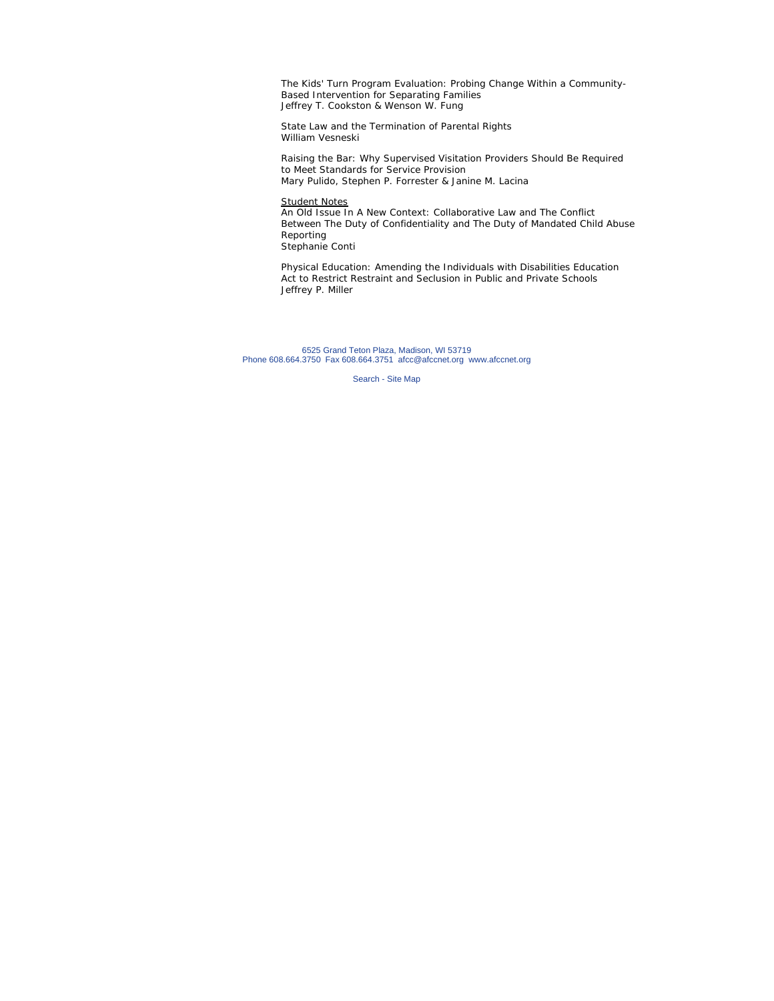*The Kids' Turn Program Evaluation: Probing Change Within a Community-Based Intervention for Separating Families* Jeffrey T. Cookston & Wenson W. Fung

*State Law and the Termination of Parental Rights*  William Vesneski

*Raising the Bar: Why Supervised Visitation Providers Should Be Required to Meet Standards for Service Provision* Mary Pulido, Stephen P. Forrester & Janine M. Lacina

Student Notes

*An Old Issue In A New Context: Collaborative Law and The Conflict Between The Duty of Confidentiality and The Duty of Mandated Child Abuse Reporting* Stephanie Conti

*Physical Education: Amending the Individuals with Disabilities Education Act to Restrict Restraint and Seclusion in Public and Private Schools* Jeffrey P. Miller

6525 Grand Teton Plaza, Madison, WI 53719 Phone 608.664.3750 Fax 608.664.3751 afcc@afccnet.org www.afccnet.org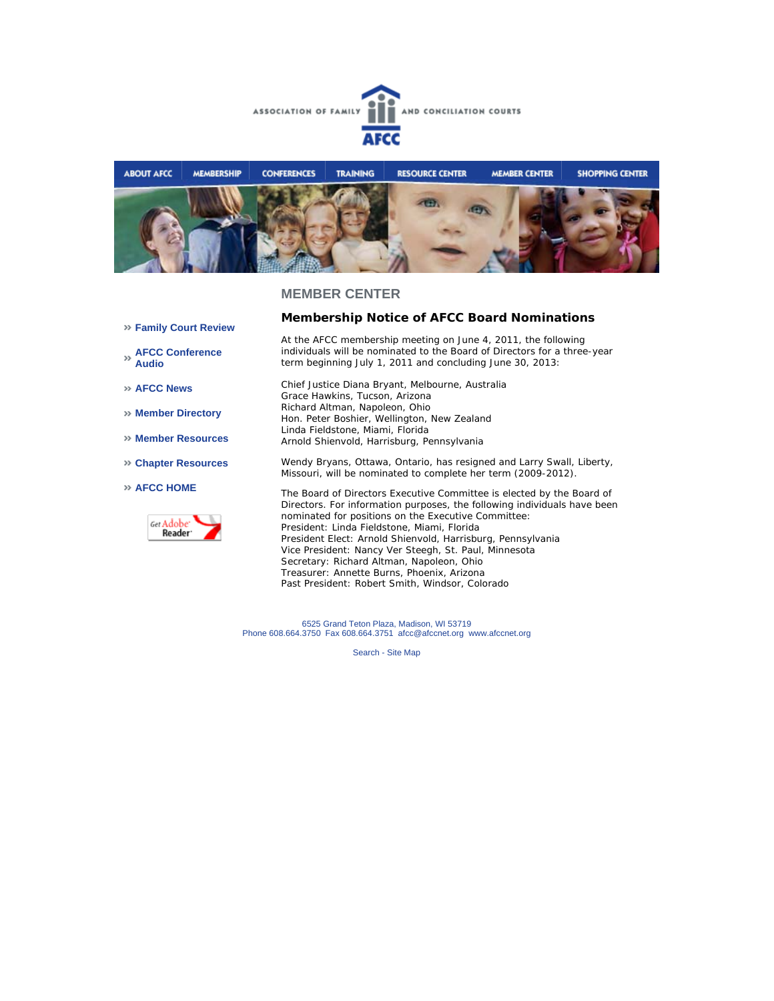



- **Family Court Review**
- **AFCC Conference Audio**
- **AFCC News**
- **Member Directory**
- **Member Resources**
- **Chapter Resources**
- **AFCC HOME**



**Membership Notice of AFCC Board Nominations** 

At the AFCC membership meeting on June 4, 2011, the following individuals will be nominated to the Board of Directors for a three-year term beginning July 1, 2011 and concluding June 30, 2013:

Chief Justice Diana Bryant, Melbourne, Australia Grace Hawkins, Tucson, Arizona Richard Altman, Napoleon, Ohio Hon. Peter Boshier, Wellington, New Zealand Linda Fieldstone, Miami, Florida Arnold Shienvold, Harrisburg, Pennsylvania

Wendy Bryans, Ottawa, Ontario, has resigned and Larry Swall, Liberty, Missouri, will be nominated to complete her term (2009-2012).

The Board of Directors Executive Committee is elected by the Board of Directors. For information purposes, the following individuals have been nominated for positions on the Executive Committee: President: Linda Fieldstone, Miami, Florida President Elect: Arnold Shienvold, Harrisburg, Pennsylvania Vice President: Nancy Ver Steegh, St. Paul, Minnesota Secretary: Richard Altman, Napoleon, Ohio Treasurer: Annette Burns, Phoenix, Arizona Past President: Robert Smith, Windsor, Colorado

6525 Grand Teton Plaza, Madison, WI 53719 Phone 608.664.3750 Fax 608.664.3751 afcc@afccnet.org www.afccnet.org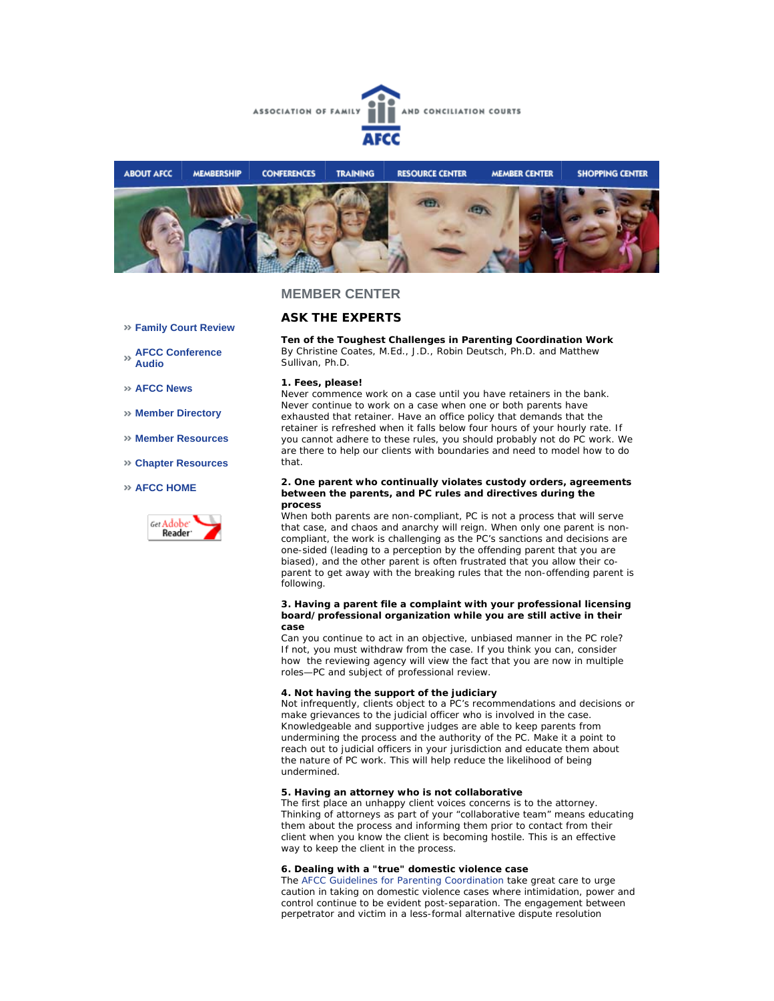



## **ASK THE EXPERTS**

**Ten of the Toughest Challenges in Parenting Coordination Work**  *By Christine Coates, M.Ed., J.D., Robin Deutsch, Ph.D. and Matthew Sullivan, Ph.D.* 

#### **1. Fees, please!**

Never commence work on a case until you have retainers in the bank. Never continue to work on a case when one or both parents have exhausted that retainer. Have an office policy that demands that the retainer is refreshed when it falls below four hours of your hourly rate. If you cannot adhere to these rules, you should probably not do PC work. We are there to help our clients with boundaries and need to model how to do that.

#### **2. One parent who continually violates custody orders, agreements between the parents, and PC rules and directives during the process**

When both parents are non-compliant, PC is not a process that will serve that case, and chaos and anarchy will reign. When only one parent is noncompliant, the work is challenging as the PC's sanctions and decisions are one-sided (leading to a perception by the offending parent that you are biased), and the other parent is often frustrated that you allow their coparent to get away with the breaking rules that the non-offending parent is following.

#### **3. Having a parent file a complaint with your professional licensing board/professional organization while you are still active in their case**

Can you continue to act in an objective, unbiased manner in the PC role? If not, you must withdraw from the case. If you think you can, consider how the reviewing agency will view the fact that you are now in multiple roles—PC and subject of professional review.

#### **4. Not having the support of the judiciary**

Not infrequently, clients object to a PC's recommendations and decisions or make grievances to the judicial officer who is involved in the case. Knowledgeable and supportive judges are able to keep parents from undermining the process and the authority of the PC. Make it a point to reach out to judicial officers in your jurisdiction and educate them about the nature of PC work. This will help reduce the likelihood of being undermined.

### **5. Having an attorney who is not collaborative**

The first place an unhappy client voices concerns is to the attorney. Thinking of attorneys as part of your "collaborative team" means educating them about the process and informing them prior to contact from their client when you know the client is becoming hostile. This is an effective way to keep the client in the process.

### **6. Dealing with a "true" domestic violence case**

The AFCC Guidelines for Parenting Coordination take great care to urge caution in taking on domestic violence cases where intimidation, power and control continue to be evident post-separation. The engagement between perpetrator and victim in a less-formal alternative dispute resolution

- **Family Court Review**
- **AFCC Conference Audio**
- **AFCC News**
- **Member Directory**
- **Member Resources**
- **Chapter Resources**

### **AFCC HOME**

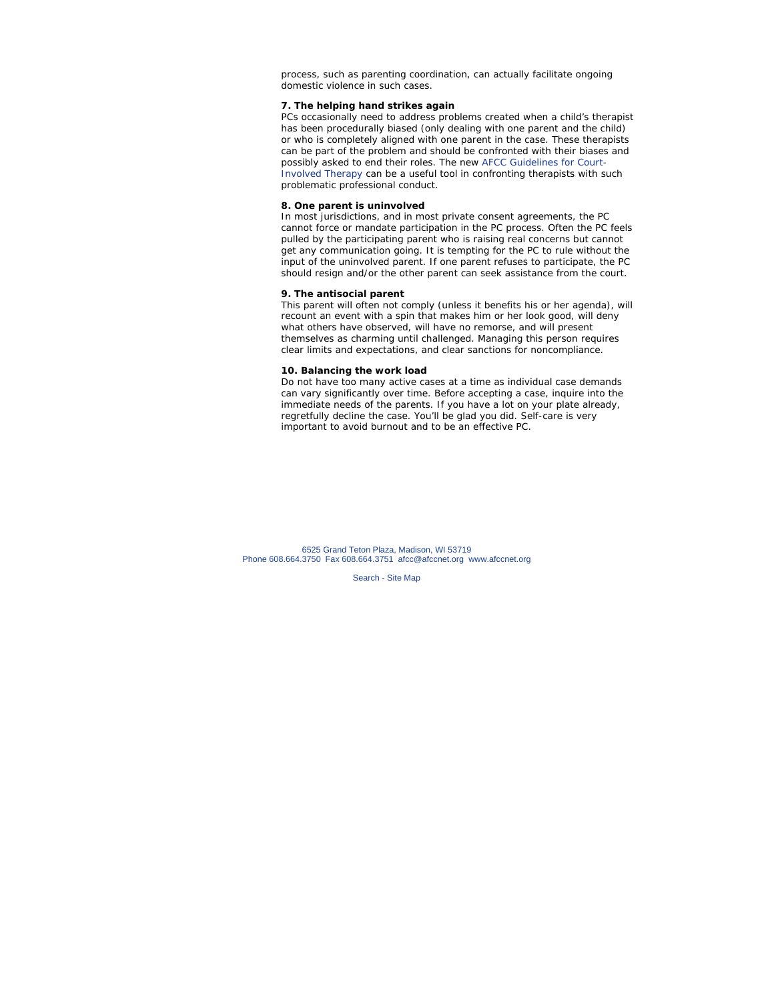process, such as parenting coordination, can actually facilitate ongoing domestic violence in such cases.

### **7. The helping hand strikes again**

PCs occasionally need to address problems created when a child's therapist has been procedurally biased (only dealing with one parent and the child) or who is completely aligned with one parent in the case. These therapists can be part of the problem and should be confronted with their biases and possibly asked to end their roles. The new AFCC Guidelines for Court-Involved Therapy can be a useful tool in confronting therapists with such problematic professional conduct.

### **8. One parent is uninvolved**

In most jurisdictions, and in most private consent agreements, the PC cannot force or mandate participation in the PC process. Often the PC feels pulled by the participating parent who is raising real concerns but cannot get any communication going. It is tempting for the PC to rule without the input of the uninvolved parent. If one parent refuses to participate, the PC should resign and/or the other parent can seek assistance from the court.

#### **9. The antisocial parent**

This parent will often not comply (unless it benefits his or her agenda), will recount an event with a spin that makes him or her look good, will deny what others have observed, will have no remorse, and will present themselves as charming until challenged. Managing this person requires clear limits and expectations, and clear sanctions for noncompliance.

#### **10. Balancing the work load**

Do not have too many active cases at a time as individual case demands can vary significantly over time. Before accepting a case, inquire into the immediate needs of the parents. If you have a lot on your plate already, regretfully decline the case. You'll be glad you did. Self-care is very important to avoid burnout and to be an effective PC.

6525 Grand Teton Plaza, Madison, WI 53719 Phone 608.664.3750 Fax 608.664.3751 afcc@afccnet.org www.afccnet.org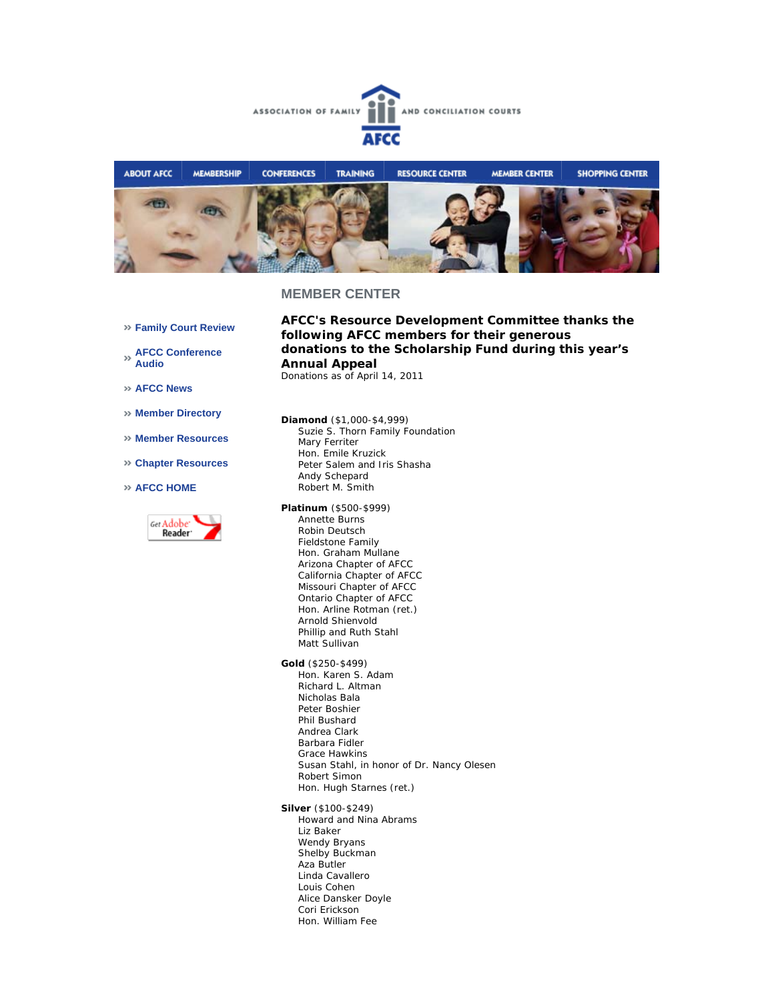



- **Family Court Review**
- **AFCC Conference Audio**
- **AFCC News**
- **Member Directory**
- **Member Resources**
- **Chapter Resources**

#### **AFCC HOME**



**AFCC's Resource Development Committee thanks the following AFCC members for their generous donations to the Scholarship Fund during this year's Annual Appeal** 

*Donations as of April 14, 2011*

**Diamond** (\$1,000-\$4,999) Suzie S. Thorn Family Foundation Mary Ferriter Hon. Emile Kruzick Peter Salem and Iris Shasha Andy Schepard Robert M. Smith

**Platinum** (\$500-\$999)

Annette Burns Robin Deutsch Fieldstone Family Hon. Graham Mullane Arizona Chapter of AFCC California Chapter of AFCC Missouri Chapter of AFCC Ontario Chapter of AFCC Hon. Arline Rotman (ret.) Arnold Shienvold Phillip and Ruth Stahl Matt Sullivan

**Gold** (\$250-\$499)

Hon. Karen S. Adam Richard L. Altman Nicholas Bala Peter Boshier Phil Bushard Andrea Clark Barbara Fidler Grace Hawkins Susan Stahl, in honor of Dr. Nancy Olesen Robert Simon Hon. Hugh Starnes (ret.)

**Silver** (\$100-\$249) Howard and Nina Abrams Liz Baker Wendy Bryans Shelby Buckman Aza Butler Linda Cavallero Louis Cohen Alice Dansker Doyle Cori Erickson Hon. William Fee